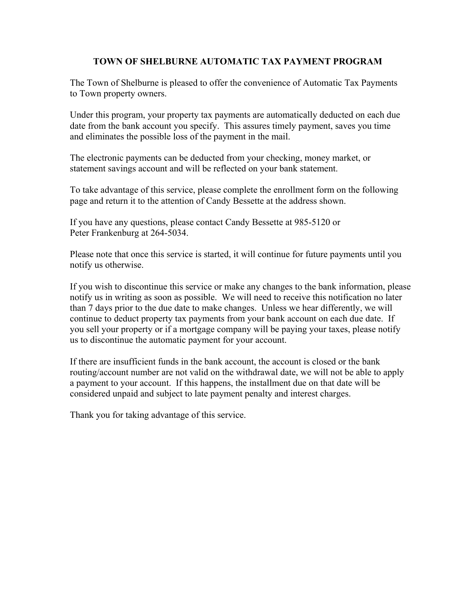## **TOWN OF SHELBURNE AUTOMATIC TAX PAYMENT PROGRAM**

The Town of Shelburne is pleased to offer the convenience of Automatic Tax Payments to Town property owners.

Under this program, your property tax payments are automatically deducted on each due date from the bank account you specify. This assures timely payment, saves you time and eliminates the possible loss of the payment in the mail.

The electronic payments can be deducted from your checking, money market, or statement savings account and will be reflected on your bank statement.

To take advantage of this service, please complete the enrollment form on the following page and return it to the attention of Candy Bessette at the address shown.

If you have any questions, please contact Candy Bessette at 985-5120 or Peter Frankenburg at 264-5034.

Please note that once this service is started, it will continue for future payments until you notify us otherwise.

If you wish to discontinue this service or make any changes to the bank information, please notify us in writing as soon as possible. We will need to receive this notification no later than 7 days prior to the due date to make changes. Unless we hear differently, we will continue to deduct property tax payments from your bank account on each due date. If you sell your property or if a mortgage company will be paying your taxes, please notify us to discontinue the automatic payment for your account.

If there are insufficient funds in the bank account, the account is closed or the bank routing/account number are not valid on the withdrawal date, we will not be able to apply a payment to your account. If this happens, the installment due on that date will be considered unpaid and subject to late payment penalty and interest charges.

Thank you for taking advantage of this service.